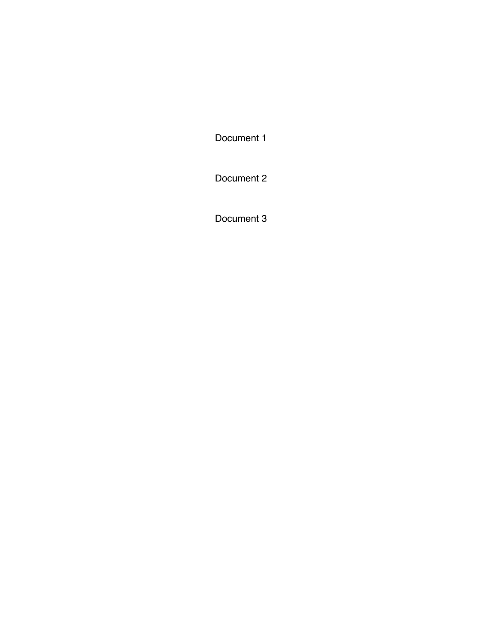[Document 1](#page-1-0)

[Document 2](#page-3-0)

[Document 3](#page-14-0)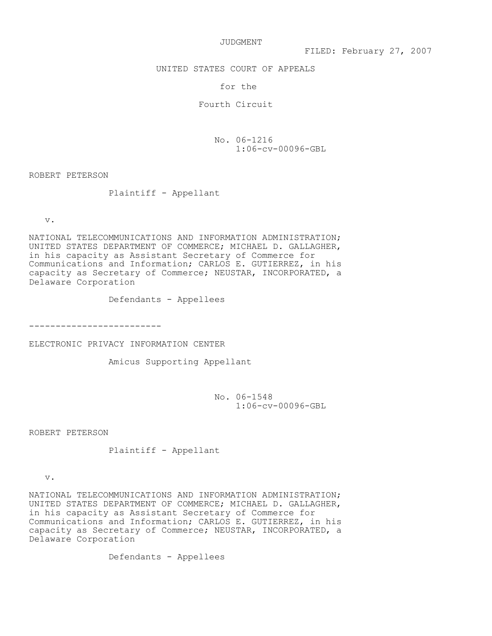JUDGMENT

<span id="page-1-0"></span>UNITED STATES COURT OF APPEALS

for the

Fourth Circuit

 $No. 06-1216$  $1:06$ - $cv$ -00096-GBL

ROBERT PETERSON

Plaintiff - Appellant

 $\mathbf v$  .

NATIONAL TELECOMMUNICATIONS AND INFORMATION ADMINISTRATION; UNITED STATES DEPARTMENT OF COMMERCE; MICHAEL D. GALLAGHER, in his capacity as Assistant Secretary of Commerce for Communications and Information; CARLOS E. GUTIERREZ, in his capacity as Secretary of Commerce; NEUSTAR, INCORPORATED, a Delaware Corporation

Defendants - Appellees

FFFFFFFFFFFFFFFFFFFFFFFFF

ELECTRONIC PRIVACY INFORMATION CENTER

Amicus Supporting Appellant

 $No. 06-1548$ 1:06-cv-00096-GBL

ROBERT PETERSON

Plaintiff - Appellant

 $V$ .

NATIONAL TELECOMMUNICATIONS AND INFORMATION ADMINISTRATION; UNITED STATES DEPARTMENT OF COMMERCE; MICHAEL D. GALLAGHER, in his capacity as Assistant Secretary of Commerce for Communications and Information; CARLOS E. GUTIERREZ, in his capacity as Secretary of Commerce; NEUSTAR, INCORPORATED, a Delaware Corporation

Defendants - Appellees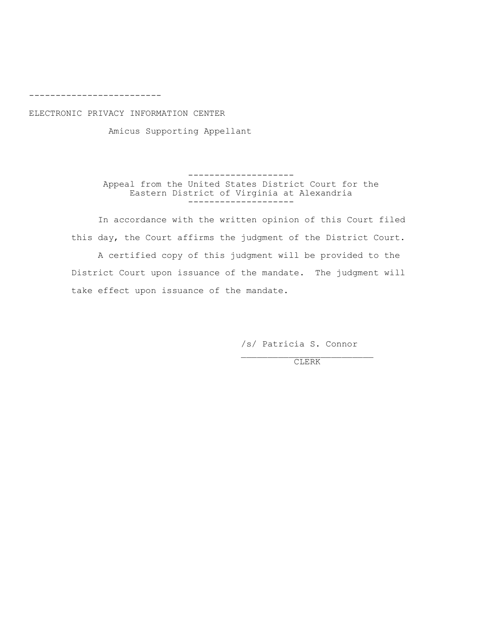---------------------

ELECTRONIC PRIVACY INFORMATION CENTER

Amicus Supporting Appellant

FFFFFFFFFFFFFFFFFFFF 9MM.2K >0?Q @A. #LB@.R 8@2@.P \$BP@0BC@ :?10@ >?0 @A. Eastern District of Virginia at Alexandria FFFFFFFFFFFFFFFFFFFF

In accordance with the written opinion of this Court filed this day, the Court affirms the judgment of the District Court.

A certified copy of this judgment will be provided to the District Court upon issuance of the mandate. The judgment will take effect upon issuance of the mandate.

/s/ Patricia S. Connor

\_\_\_\_\_\_\_\_\_\_\_\_\_\_\_\_\_\_\_\_\_\_\_\_\_ :,'<`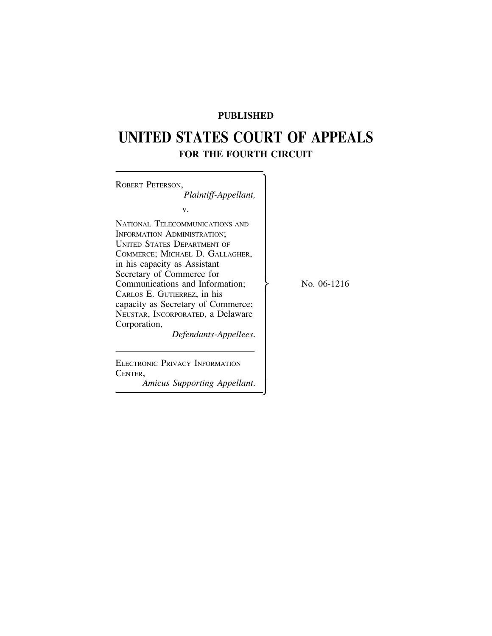# **PUBLISHED**

# <span id="page-3-0"></span>**UNITED STATES COURT OF APPEALS FOR THE FOURTH CIRCUIT**

| ROBERT PETERSON,<br>Plaintiff-Appellant,                                                                                                                                                                                                                                                                                                                                                   |  |
|--------------------------------------------------------------------------------------------------------------------------------------------------------------------------------------------------------------------------------------------------------------------------------------------------------------------------------------------------------------------------------------------|--|
| v.                                                                                                                                                                                                                                                                                                                                                                                         |  |
| NATIONAL TELECOMMUNICATIONS AND<br>INFORMATION ADMINISTRATION;<br><b>UNITED STATES DEPARTMENT OF</b><br>COMMERCE; MICHAEL D. GALLAGHER,<br>in his capacity as Assistant<br>Secretary of Commerce for<br>Communications and Information;<br>CARLOS E. GUTIERREZ, in his<br>capacity as Secretary of Commerce;<br>NEUSTAR, INCORPORATED, a Delaware<br>Corporation,<br>Defendants-Appellees. |  |
| ELECTRONIC PRIVACY INFORMATION<br>CENTER,                                                                                                                                                                                                                                                                                                                                                  |  |

*Amicus Supporting Appellant.*

No. 06-1216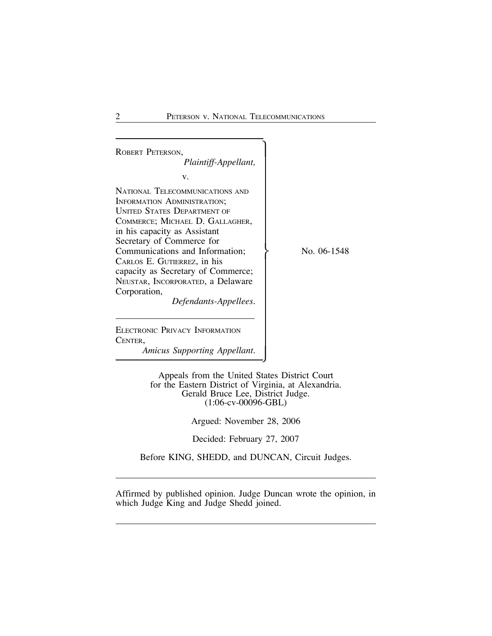ROBERT PETERSON, *Plaintiff-Appellant,* v. NATIONAL TELECOMMUNICATIONS AND INFORMATION ADMINISTRATION; UNITED STATES DEPARTMENT OF COMMERCE; MICHAEL D. GALLAGHER, in his capacity as Assistant Secretary of Commerce for Communications and Information;  $\qquad \qquad \}$  No. 06-1548 CARLOS E. GUTIERREZ, in his capacity as Secretary of Commerce; NEUSTAR, INCORPORATED, a Delaware Corporation, *Defendants-Appellees.* ELECTRONIC PRIVACY INFORMATION CENTER, *Amicus Supporting Appellant.*

> Appeals from the United States District Court for the Eastern District of Virginia, at Alexandria. Gerald Bruce Lee, District Judge. (1:06-cv-00096-GBL)

> > Argued: November 28, 2006

Decided: February 27, 2007

Before KING, SHEDD, and DUNCAN, Circuit Judges.

Affirmed by published opinion. Judge Duncan wrote the opinion, in which Judge King and Judge Shedd joined.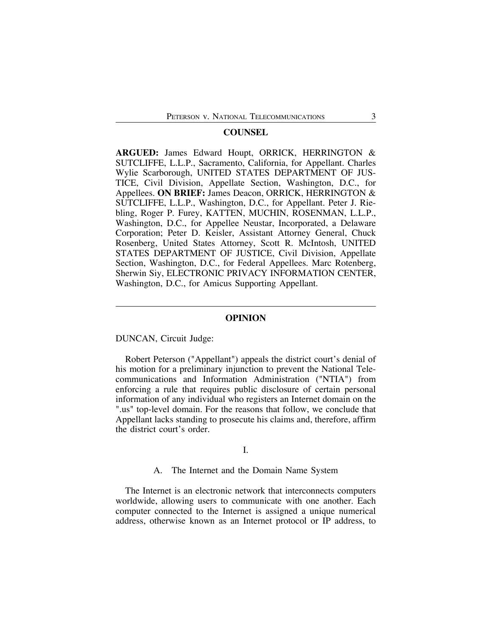## **COUNSEL**

**ARGUED:** James Edward Houpt, ORRICK, HERRINGTON & SUTCLIFFE, L.L.P., Sacramento, California, for Appellant. Charles Wylie Scarborough, UNITED STATES DEPARTMENT OF JUS-TICE, Civil Division, Appellate Section, Washington, D.C., for Appellees. **ON BRIEF:** James Deacon, ORRICK, HERRINGTON & SUTCLIFFE, L.L.P., Washington, D.C., for Appellant. Peter J. Riebling, Roger P. Furey, KATTEN, MUCHIN, ROSENMAN, L.L.P., Washington, D.C., for Appellee Neustar, Incorporated, a Delaware Corporation; Peter D. Keisler, Assistant Attorney General, Chuck Rosenberg, United States Attorney, Scott R. McIntosh, UNITED STATES DEPARTMENT OF JUSTICE, Civil Division, Appellate Section, Washington, D.C., for Federal Appellees. Marc Rotenberg, Sherwin Siy, ELECTRONIC PRIVACY INFORMATION CENTER, Washington, D.C., for Amicus Supporting Appellant.

#### **OPINION**

#### DUNCAN, Circuit Judge:

Robert Peterson ("Appellant") appeals the district court's denial of his motion for a preliminary injunction to prevent the National Telecommunications and Information Administration ("NTIA") from enforcing a rule that requires public disclosure of certain personal information of any individual who registers an Internet domain on the ".us" top-level domain. For the reasons that follow, we conclude that Appellant lacks standing to prosecute his claims and, therefore, affirm the district court's order.

# I.

#### A. The Internet and the Domain Name System

The Internet is an electronic network that interconnects computers worldwide, allowing users to communicate with one another. Each computer connected to the Internet is assigned a unique numerical address, otherwise known as an Internet protocol or IP address, to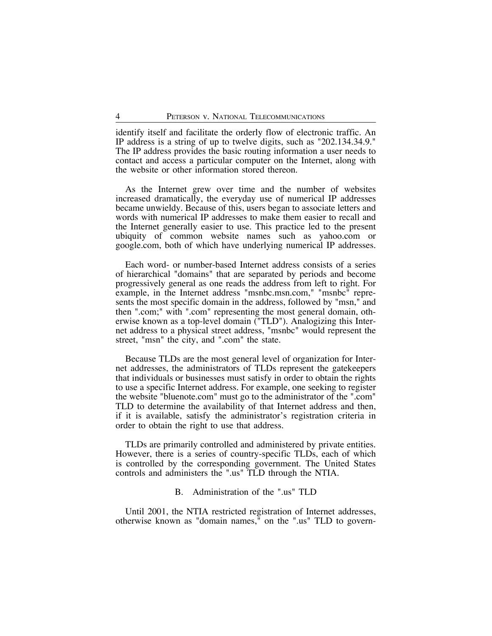identify itself and facilitate the orderly flow of electronic traffic. An IP address is a string of up to twelve digits, such as "202.134.34.9." The IP address provides the basic routing information a user needs to contact and access a particular computer on the Internet, along with the website or other information stored thereon.

As the Internet grew over time and the number of websites increased dramatically, the everyday use of numerical IP addresses became unwieldy. Because of this, users began to associate letters and words with numerical IP addresses to make them easier to recall and the Internet generally easier to use. This practice led to the present ubiquity of common website names such as yahoo.com or google.com, both of which have underlying numerical IP addresses.

Each word- or number-based Internet address consists of a series of hierarchical "domains" that are separated by periods and become progressively general as one reads the address from left to right. For example, in the Internet address "msnbc.msn.com," "msnbc" represents the most specific domain in the address, followed by "msn," and then ".com;" with ".com" representing the most general domain, otherwise known as a top-level domain ("TLD"). Analogizing this Internet address to a physical street address, "msnbc" would represent the street, "msn" the city, and ".com" the state.

Because TLDs are the most general level of organization for Internet addresses, the administrators of TLDs represent the gatekeepers that individuals or businesses must satisfy in order to obtain the rights to use a specific Internet address. For example, one seeking to register the website "bluenote.com" must go to the administrator of the ".com" TLD to determine the availability of that Internet address and then, if it is available, satisfy the administrator's registration criteria in order to obtain the right to use that address.

TLDs are primarily controlled and administered by private entities. However, there is a series of country-specific TLDs, each of which is controlled by the corresponding government. The United States controls and administers the ".us" TLD through the NTIA.

#### B. Administration of the ".us" TLD

Until 2001, the NTIA restricted registration of Internet addresses, otherwise known as "domain names," on the ".us" TLD to govern-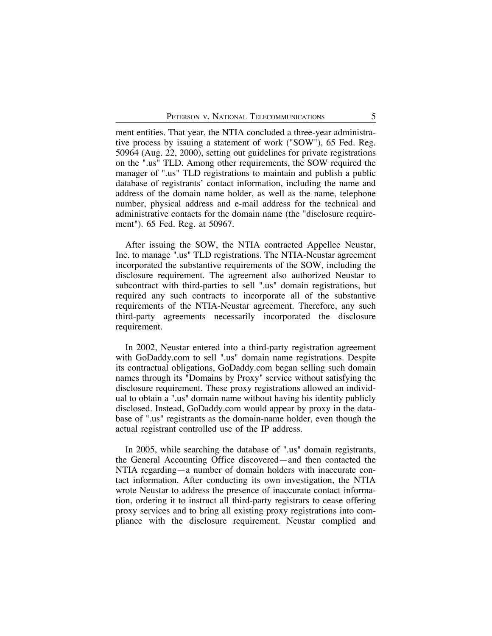ment entities. That year, the NTIA concluded a three-year administrative process by issuing a statement of work ("SOW"), 65 Fed. Reg. 50964 (Aug. 22, 2000), setting out guidelines for private registrations on the ".us" TLD. Among other requirements, the SOW required the manager of ".us" TLD registrations to maintain and publish a public database of registrants' contact information, including the name and address of the domain name holder, as well as the name, telephone number, physical address and e-mail address for the technical and administrative contacts for the domain name (the "disclosure requirement"). 65 Fed. Reg. at 50967.

After issuing the SOW, the NTIA contracted Appellee Neustar, Inc. to manage ".us" TLD registrations. The NTIA-Neustar agreement incorporated the substantive requirements of the SOW, including the disclosure requirement. The agreement also authorized Neustar to subcontract with third-parties to sell ".us" domain registrations, but required any such contracts to incorporate all of the substantive requirements of the NTIA-Neustar agreement. Therefore, any such third-party agreements necessarily incorporated the disclosure requirement.

In 2002, Neustar entered into a third-party registration agreement with GoDaddy.com to sell ".us" domain name registrations. Despite its contractual obligations, GoDaddy.com began selling such domain names through its "Domains by Proxy" service without satisfying the disclosure requirement. These proxy registrations allowed an individual to obtain a ".us" domain name without having his identity publicly disclosed. Instead, GoDaddy.com would appear by proxy in the database of ".us" registrants as the domain-name holder, even though the actual registrant controlled use of the IP address.

In 2005, while searching the database of ".us" domain registrants, the General Accounting Office discovered—and then contacted the NTIA regarding—a number of domain holders with inaccurate contact information. After conducting its own investigation, the NTIA wrote Neustar to address the presence of inaccurate contact information, ordering it to instruct all third-party registrars to cease offering proxy services and to bring all existing proxy registrations into compliance with the disclosure requirement. Neustar complied and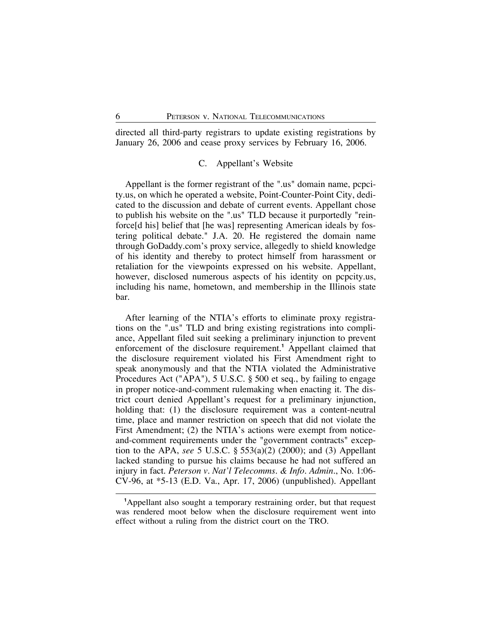directed all third-party registrars to update existing registrations by January 26, 2006 and cease proxy services by February 16, 2006.

### C. Appellant's Website

Appellant is the former registrant of the ".us" domain name, pcpcity.us, on which he operated a website, Point-Counter-Point City, dedicated to the discussion and debate of current events. Appellant chose to publish his website on the ".us" TLD because it purportedly "reinforce[d his] belief that [he was] representing American ideals by fostering political debate." J.A. 20. He registered the domain name through GoDaddy.com's proxy service, allegedly to shield knowledge of his identity and thereby to protect himself from harassment or retaliation for the viewpoints expressed on his website. Appellant, however, disclosed numerous aspects of his identity on pcpcity.us, including his name, hometown, and membership in the Illinois state bar.

After learning of the NTIA's efforts to eliminate proxy registrations on the ".us" TLD and bring existing registrations into compliance, Appellant filed suit seeking a preliminary injunction to prevent enforcement of the disclosure requirement.**<sup>1</sup>** Appellant claimed that the disclosure requirement violated his First Amendment right to speak anonymously and that the NTIA violated the Administrative Procedures Act ("APA"), 5 U.S.C. § 500 et seq., by failing to engage in proper notice-and-comment rulemaking when enacting it. The district court denied Appellant's request for a preliminary injunction, holding that: (1) the disclosure requirement was a content-neutral time, place and manner restriction on speech that did not violate the First Amendment; (2) the NTIA's actions were exempt from noticeand-comment requirements under the "government contracts" exception to the APA, *see* 5 U.S.C. § 553(a)(2) (2000); and (3) Appellant lacked standing to pursue his claims because he had not suffered an injury in fact. *Peterson v. Nat'l Telecomms. & Info. Admin.*, No. 1:06- CV-96, at \*5-13 (E.D. Va., Apr. 17, 2006) (unpublished). Appellant

**<sup>1</sup>** Appellant also sought a temporary restraining order, but that request was rendered moot below when the disclosure requirement went into effect without a ruling from the district court on the TRO.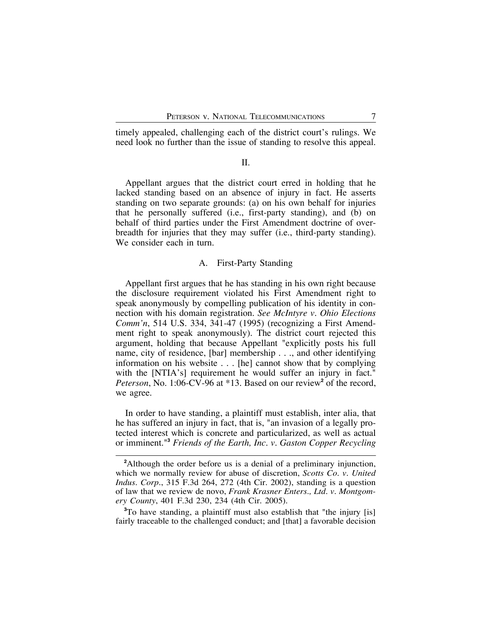timely appealed, challenging each of the district court's rulings. We need look no further than the issue of standing to resolve this appeal.

#### II.

Appellant argues that the district court erred in holding that he lacked standing based on an absence of injury in fact. He asserts standing on two separate grounds: (a) on his own behalf for injuries that he personally suffered (i.e., first-party standing), and (b) on behalf of third parties under the First Amendment doctrine of overbreadth for injuries that they may suffer (i.e., third-party standing). We consider each in turn.

#### A. First-Party Standing

Appellant first argues that he has standing in his own right because the disclosure requirement violated his First Amendment right to speak anonymously by compelling publication of his identity in connection with his domain registration. *See McIntyre v. Ohio Elections Comm'n*, 514 U.S. 334, 341-47 (1995) (recognizing a First Amendment right to speak anonymously). The district court rejected this argument, holding that because Appellant "explicitly posts his full name, city of residence, [bar] membership . . ., and other identifying information on his website . . . [he] cannot show that by complying with the [NTIA's] requirement he would suffer an injury in fact." *Peterson*, No. 1:06-CV-96 at \*13. Based on our review**<sup>2</sup>** of the record, we agree.

In order to have standing, a plaintiff must establish, inter alia, that he has suffered an injury in fact, that is, "an invasion of a legally protected interest which is concrete and particularized, as well as actual or imminent."**<sup>3</sup>** *Friends of the Earth, Inc. v. Gaston Copper Recycling*

**3** To have standing, a plaintiff must also establish that "the injury [is] fairly traceable to the challenged conduct; and [that] a favorable decision

**<sup>2</sup>** Although the order before us is a denial of a preliminary injunction, which we normally review for abuse of discretion, *Scotts Co. v. United Indus. Corp.*, 315 F.3d 264, 272 (4th Cir. 2002), standing is a question of law that we review de novo, *Frank Krasner Enters., Ltd. v. Montgomery County*, 401 F.3d 230, 234 (4th Cir. 2005).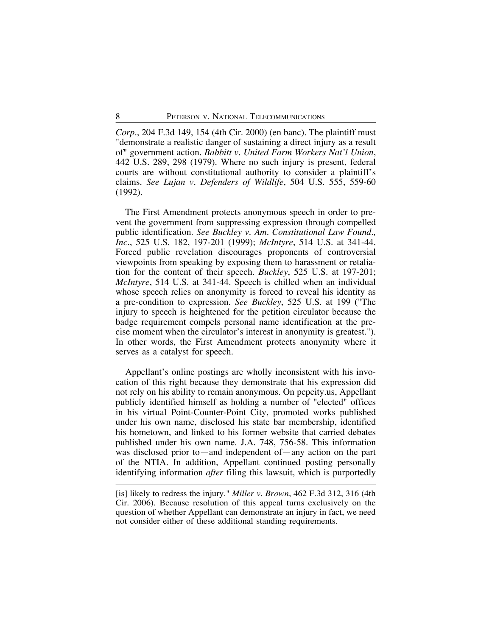*Corp.*, 204 F.3d 149, 154 (4th Cir. 2000) (en banc). The plaintiff must "demonstrate a realistic danger of sustaining a direct injury as a result of" government action. *Babbitt v. United Farm Workers Nat'l Union*, 442 U.S. 289, 298 (1979). Where no such injury is present, federal courts are without constitutional authority to consider a plaintiff's claims. *See Lujan v. Defenders of Wildlife*, 504 U.S. 555, 559-60 (1992).

The First Amendment protects anonymous speech in order to prevent the government from suppressing expression through compelled public identification. *See Buckley v. Am. Constitutional Law Found., Inc.*, 525 U.S. 182, 197-201 (1999); *McIntyre*, 514 U.S. at 341-44. Forced public revelation discourages proponents of controversial viewpoints from speaking by exposing them to harassment or retaliation for the content of their speech. *Buckley*, 525 U.S. at 197-201; *McIntyre*, 514 U.S. at 341-44. Speech is chilled when an individual whose speech relies on anonymity is forced to reveal his identity as a pre-condition to expression. *See Buckley*, 525 U.S. at 199 ("The injury to speech is heightened for the petition circulator because the badge requirement compels personal name identification at the precise moment when the circulator's interest in anonymity is greatest."). In other words, the First Amendment protects anonymity where it serves as a catalyst for speech.

Appellant's online postings are wholly inconsistent with his invocation of this right because they demonstrate that his expression did not rely on his ability to remain anonymous. On pcpcity.us, Appellant publicly identified himself as holding a number of "elected" offices in his virtual Point-Counter-Point City, promoted works published under his own name, disclosed his state bar membership, identified his hometown, and linked to his former website that carried debates published under his own name. J.A. 748, 756-58. This information was disclosed prior to—and independent of—any action on the part of the NTIA. In addition, Appellant continued posting personally identifying information *after* filing this lawsuit, which is purportedly

<sup>[</sup>is] likely to redress the injury." *Miller v. Brown*, 462 F.3d 312, 316 (4th Cir. 2006). Because resolution of this appeal turns exclusively on the question of whether Appellant can demonstrate an injury in fact, we need not consider either of these additional standing requirements.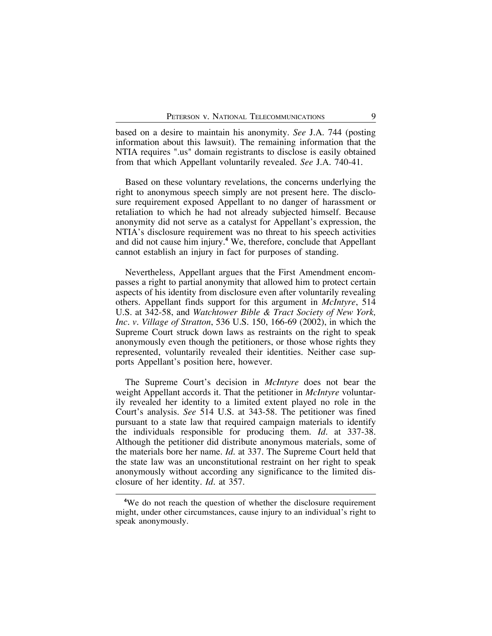based on a desire to maintain his anonymity. *See* J.A. 744 (posting information about this lawsuit). The remaining information that the NTIA requires ".us" domain registrants to disclose is easily obtained from that which Appellant voluntarily revealed. *See* J.A. 740-41.

Based on these voluntary revelations, the concerns underlying the right to anonymous speech simply are not present here. The disclosure requirement exposed Appellant to no danger of harassment or retaliation to which he had not already subjected himself. Because anonymity did not serve as a catalyst for Appellant's expression, the NTIA's disclosure requirement was no threat to his speech activities and did not cause him injury.**<sup>4</sup>** We, therefore, conclude that Appellant cannot establish an injury in fact for purposes of standing.

Nevertheless, Appellant argues that the First Amendment encompasses a right to partial anonymity that allowed him to protect certain aspects of his identity from disclosure even after voluntarily revealing others. Appellant finds support for this argument in *McIntyre*, 514 U.S. at 342-58, and *Watchtower Bible & Tract Society of New York, Inc. v. Village of Stratton*, 536 U.S. 150, 166-69 (2002), in which the Supreme Court struck down laws as restraints on the right to speak anonymously even though the petitioners, or those whose rights they represented, voluntarily revealed their identities. Neither case supports Appellant's position here, however.

The Supreme Court's decision in *McIntyre* does not bear the weight Appellant accords it. That the petitioner in *McIntyre* voluntarily revealed her identity to a limited extent played no role in the Court's analysis. *See* 514 U.S. at 343-58. The petitioner was fined pursuant to a state law that required campaign materials to identify the individuals responsible for producing them. *Id.* at 337-38. Although the petitioner did distribute anonymous materials, some of the materials bore her name. *Id.* at 337. The Supreme Court held that the state law was an unconstitutional restraint on her right to speak anonymously without according any significance to the limited disclosure of her identity. *Id.* at 357.

**<sup>4</sup>** We do not reach the question of whether the disclosure requirement might, under other circumstances, cause injury to an individual's right to speak anonymously.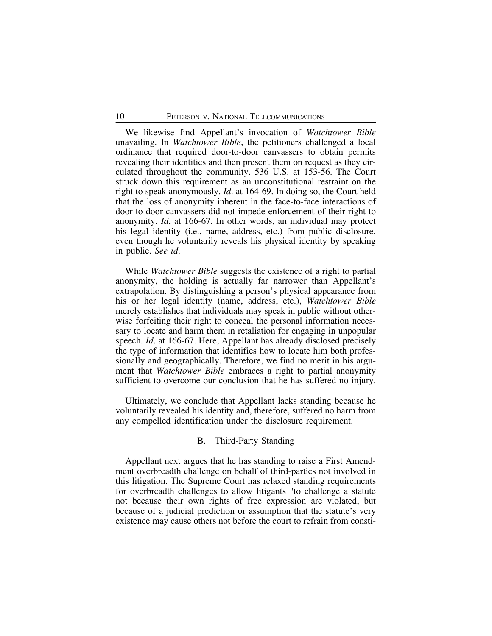We likewise find Appellant's invocation of *Watchtower Bible* unavailing. In *Watchtower Bible*, the petitioners challenged a local ordinance that required door-to-door canvassers to obtain permits revealing their identities and then present them on request as they circulated throughout the community. 536 U.S. at 153-56. The Court struck down this requirement as an unconstitutional restraint on the right to speak anonymously. *Id.* at 164-69. In doing so, the Court held that the loss of anonymity inherent in the face-to-face interactions of door-to-door canvassers did not impede enforcement of their right to anonymity. *Id.* at 166-67. In other words, an individual may protect his legal identity (i.e., name, address, etc.) from public disclosure, even though he voluntarily reveals his physical identity by speaking in public. *See id.*

While *Watchtower Bible* suggests the existence of a right to partial anonymity, the holding is actually far narrower than Appellant's extrapolation. By distinguishing a person's physical appearance from his or her legal identity (name, address, etc.), *Watchtower Bible* merely establishes that individuals may speak in public without otherwise forfeiting their right to conceal the personal information necessary to locate and harm them in retaliation for engaging in unpopular speech. *Id.* at 166-67. Here, Appellant has already disclosed precisely the type of information that identifies how to locate him both professionally and geographically. Therefore, we find no merit in his argument that *Watchtower Bible* embraces a right to partial anonymity sufficient to overcome our conclusion that he has suffered no injury.

Ultimately, we conclude that Appellant lacks standing because he voluntarily revealed his identity and, therefore, suffered no harm from any compelled identification under the disclosure requirement.

#### B. Third-Party Standing

Appellant next argues that he has standing to raise a First Amendment overbreadth challenge on behalf of third-parties not involved in this litigation. The Supreme Court has relaxed standing requirements for overbreadth challenges to allow litigants "to challenge a statute not because their own rights of free expression are violated, but because of a judicial prediction or assumption that the statute's very existence may cause others not before the court to refrain from consti-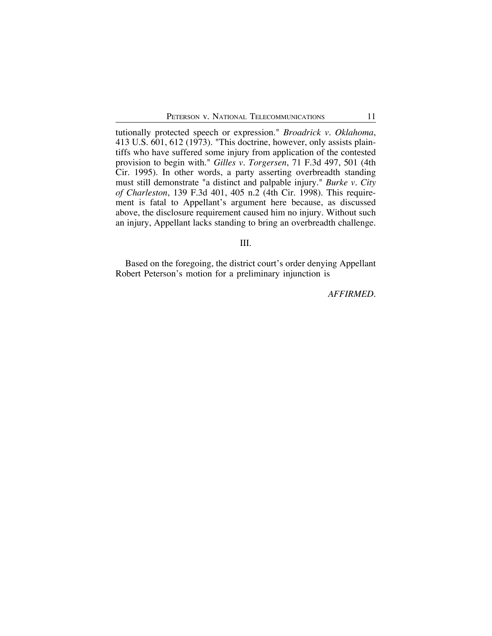tutionally protected speech or expression." *Broadrick v. Oklahoma*, 413 U.S. 601, 612 (1973). "This doctrine, however, only assists plaintiffs who have suffered some injury from application of the contested provision to begin with." *Gilles v. Torgersen*, 71 F.3d 497, 501 (4th Cir. 1995). In other words, a party asserting overbreadth standing must still demonstrate "a distinct and palpable injury." *Burke v. City of Charleston*, 139 F.3d 401, 405 n.2 (4th Cir. 1998). This requirement is fatal to Appellant's argument here because, as discussed above, the disclosure requirement caused him no injury. Without such an injury, Appellant lacks standing to bring an overbreadth challenge.

III.

Based on the foregoing, the district court's order denying Appellant Robert Peterson's motion for a preliminary injunction is

*AFFIRMED*.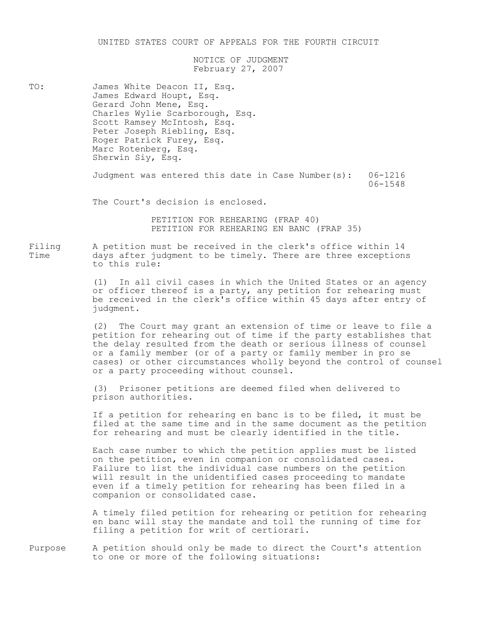UNITED STATES COURT OF APPEALS FOR THE FOURTH CIRCUIT

NOTICE OF JUDGMENT February 27, 2007

<span id="page-14-0"></span>TO: James White Deacon II, Esq.<br>James Edward Houpt, Esq. Gerard John Mene, Esq. Charles Wylie Scarborough, Esq.<br>Scott Ramsey McIntosh, Esq. Peter Joseph Riebling, Esq. Roger Patrick Furey, Esq. Marc Rotenberg, Esq.<br>Sherwin Siy, Esq.

> Judgment was entered this date in Case Number(s):  $06-1216$  $06 - 1548$

The Court's decision is enclosed.

PETITION FOR REHEARING (FRAP 40) PETITION FOR REHEARING EN BANC (FRAP 35).

-CMCGN ) L4DCDCFG ?7@D 54 64E4C[4J CG DB4 EM46OX@ F\\CE4 KCDBCG TV days after judgment to be timely. There are three exceptions to this rule:

> (1) In all civil cases in which the United States or an agency or officer thereof is a party, any petition for rehearing must be received in the clerk's office within 45 days after entry of judgment.

(2) The Court may grant an extension of time or leave to file a petition for rehearing out of time if the party establishes that the delay resulted from the death or serious illness of counsel or a family member (or of a party or family member in pro se cases) or other circumstances wholly beyond the control of counsel or a party proceeding without counsel.

(3) Prisoner petitions are deemed filed when delivered to prison authorities.

If a petition for rehearing en banc is to be filed, it must be filed at the same time and in the same document as the petition for rehearing and must be clearly identified in the title.

Each case number to which the petition applies must be listed on the petition, even in companion or consolidated cases. Failure to list the individual case numbers on the petition will result in the unidentified cases proceeding to mandate even if a timely petition for rehearing has been filed in a companion or consolidated case.

A timely filed petition for rehearing or petition for rehearing en banc will stay the mandate and toll the running of time for filing a petition for writ of certiorari.

Purpose A petition should only be made to direct the Court's attention to one or more of the following situations: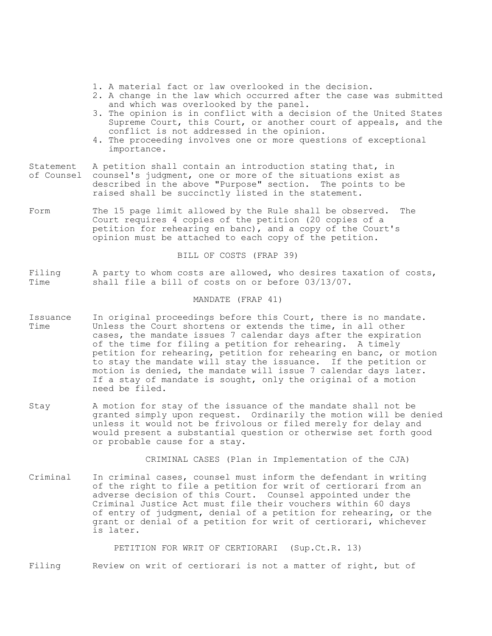- 1. A material fact or law overlooked in the decision.
- 2. A change in the law which occurred after the case was submitted and which was overlooked by the panel.
- 3. The opinion is in conflict with a decision of the United States Supreme Court, this Court, or another court of appeals, and the conflict is not addressed in the opinion.
- 4. The proceeding involves one or more questions of exceptional importance.
- Statement A petition shall contain an introduction stating that, in of Counsel counsel's judgment, one or more of the situations exist as described in the above "Purpose" section. The points to be raised shall be succinctly listed in the statement.
- Form The 15 page limit allowed by the Rule shall be observed. The Court requires 4 copies of the petition (20 copies of a petition for rehearing en banc), and a copy of the Court's opinion must be attached to each copy of the petition.

BILL OF COSTS (FRAP 39)

Filing  $\alpha$  a party to whom costs are allowed, who desires taxation of costs,  $\alpha$  and  $\alpha$  and  $\alpha$  for costs on or before 03/13/07. shall file a bill of costs on or before  $03/13/07$ .

#### MANDATE (FRAP 41)

- Issuance In original proceedings before this Court, there is no mandate.<br>Time 55 Unless the Court shortens or extends the time, in all other Unless the Court shortens or extends the time, in all other cases, the mandate issues 7 calendar days after the expiration of the time for filing a petition for rehearing. A timely petition for rehearing, petition for rehearing en banc, or motion to stay the mandate will stay the issuance. If the petition or motion is denied, the mandate will issue 7 calendar days later. If a stay of mandate is sought, only the original of a motion need be filed.
- Stay 30 A motion for stay of the issuance of the mandate shall not be granted simply upon request. Ordinarily the motion will be denied unless it would not be frivolous or filed merely for delay and would present a substantial question or otherwise set forth good or probable cause for a stay.

CRIMINAL CASES (Plan in Implementation of the CJA)

Criminal In criminal cases, counsel must inform the defendant in writing of the right to file a petition for writ of certiorari from an adverse decision of this Court. Counsel appointed under the Criminal Justice Act must file their vouchers within 60 days of entry of judgment, denial of a petition for rehearing, or the grant or denial of a petition for writ of certiorari, whichever is later.

PETITION FOR WRIT OF CERTIORARI (Sup.Ct.R. 13)

Filing Beview on writ of certiorari is not a matter of right, but of